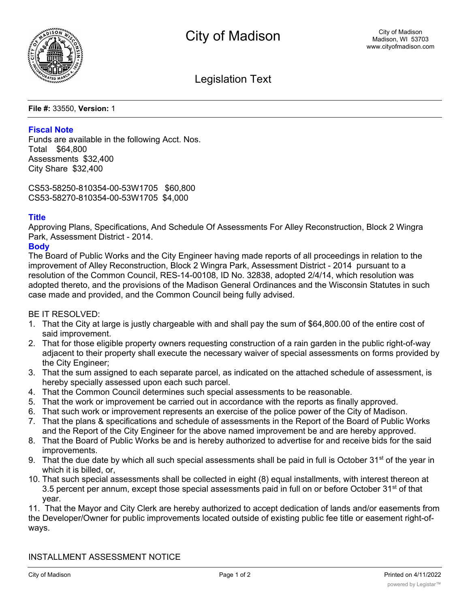

Legislation Text

**File #:** 33550, **Version:** 1

## **Fiscal Note**

Funds are available in the following Acct. Nos. Total \$64,800 Assessments \$32,400 City Share \$32,400

CS53-58250-810354-00-53W1705 \$60,800 CS53-58270-810354-00-53W1705 \$4,000

## **Title**

Approving Plans, Specifications, And Schedule Of Assessments For Alley Reconstruction, Block 2 Wingra Park, Assessment District - 2014.

## **Body**

The Board of Public Works and the City Engineer having made reports of all proceedings in relation to the improvement of Alley Reconstruction, Block 2 Wingra Park, Assessment District - 2014 pursuant to a resolution of the Common Council, RES-14-00108, ID No. 32838, adopted 2/4/14, which resolution was adopted thereto, and the provisions of the Madison General Ordinances and the Wisconsin Statutes in such case made and provided, and the Common Council being fully advised.

BE IT RESOLVED:

- 1. That the City at large is justly chargeable with and shall pay the sum of \$64,800.00 of the entire cost of said improvement.
- 2. That for those eligible property owners requesting construction of a rain garden in the public right-of-way adjacent to their property shall execute the necessary waiver of special assessments on forms provided by the City Engineer;
- 3. That the sum assigned to each separate parcel, as indicated on the attached schedule of assessment, is hereby specially assessed upon each such parcel.
- 4. That the Common Council determines such special assessments to be reasonable.
- 5. That the work or improvement be carried out in accordance with the reports as finally approved.
- 6. That such work or improvement represents an exercise of the police power of the City of Madison.
- 7. That the plans & specifications and schedule of assessments in the Report of the Board of Public Works and the Report of the City Engineer for the above named improvement be and are hereby approved.
- 8. That the Board of Public Works be and is hereby authorized to advertise for and receive bids for the said improvements.
- 9. That the due date by which all such special assessments shall be paid in full is October 31<sup>st</sup> of the year in which it is billed, or,
- 10. That such special assessments shall be collected in eight (8) equal installments, with interest thereon at 3.5 percent per annum, except those special assessments paid in full on or before October 31<sup>st</sup> of that year.

11. That the Mayor and City Clerk are hereby authorized to accept dedication of lands and/or easements from the Developer/Owner for public improvements located outside of existing public fee title or easement right-ofways.

INSTALLMENT ASSESSMENT NOTICE